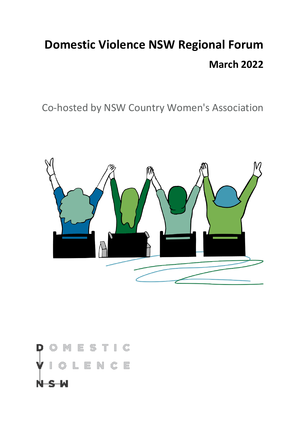# **Domestic Violence NSW Regional Forum March 2022**

Co-hosted by NSW Country Women's Association



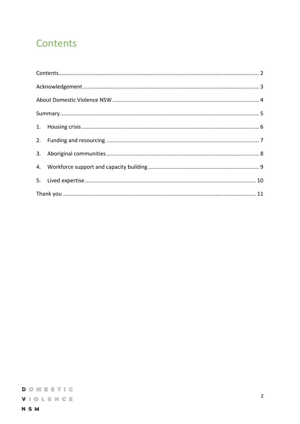### <span id="page-1-0"></span>Contents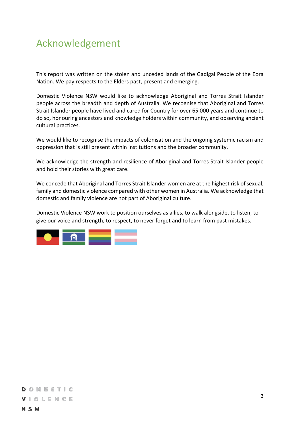### <span id="page-2-0"></span>Acknowledgement

This report was written on the stolen and unceded lands of the Gadigal People of the Eora Nation. We pay respects to the Elders past, present and emerging.

Domestic Violence NSW would like to acknowledge Aboriginal and Torres Strait Islander people across the breadth and depth of Australia. We recognise that Aboriginal and Torres Strait Islander people have lived and cared for Country for over 65,000 years and continue to do so, honouring ancestors and knowledge holders within community, and observing ancient cultural practices.

We would like to recognise the impacts of colonisation and the ongoing systemic racism and oppression that is still present within institutions and the broader community.

We acknowledge the strength and resilience of Aboriginal and Torres Strait Islander people and hold their stories with great care.

We concede that Aboriginal and Torres Strait Islander women are at the highest risk of sexual, family and domestic violence compared with other women in Australia. We acknowledge that domestic and family violence are not part of Aboriginal culture.

Domestic Violence NSW work to position ourselves as allies, to walk alongside, to listen, to give our voice and strength, to respect, to never forget and to learn from past mistakes.

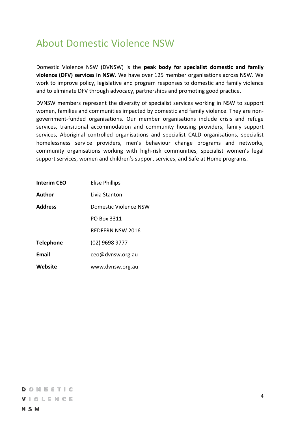### <span id="page-3-0"></span>About Domestic Violence NSW

Domestic Violence NSW (DVNSW) is the **peak body for specialist domestic and family violence (DFV) services in NSW**. We have over 125 member organisations across NSW. We work to improve policy, legislative and program responses to domestic and family violence and to eliminate DFV through advocacy, partnerships and promoting good practice.

DVNSW members represent the diversity of specialist services working in NSW to support women, families and communities impacted by domestic and family violence. They are nongovernment-funded organisations. Our member organisations include crisis and refuge services, transitional accommodation and community housing providers, family support services, Aboriginal controlled organisations and specialist CALD organisations, specialist homelessness service providers, men's behaviour change programs and networks, community organisations working with high-risk communities, specialist women's legal support services, women and children's support services, and Safe at Home programs.

| <b>Interim CEO</b> | <b>Elise Phillips</b> |
|--------------------|-----------------------|
| Author             | Livia Stanton         |
| <b>Address</b>     | Domestic Violence NSW |
|                    | PO Box 3311           |
|                    | REDFERN NSW 2016      |
| <b>Telephone</b>   | (02) 9698 9777        |
| <b>Email</b>       | ceo@dvnsw.org.au      |
| Website            | www.dvnsw.org.au      |

#### DOMESTIC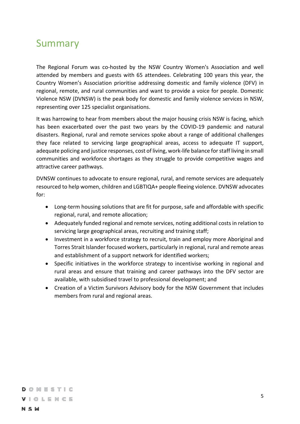### <span id="page-4-0"></span>Summary

The Regional Forum was co-hosted by the NSW Country Women's Association and well attended by members and guests with 65 attendees. Celebrating 100 years this year, the Country Women's Association prioritise addressing domestic and family violence (DFV) in regional, remote, and rural communities and want to provide a voice for people. Domestic Violence NSW (DVNSW) is the peak body for domestic and family violence services in NSW, representing over 125 specialist organisations.

It was harrowing to hear from members about the major housing crisis NSW is facing, which has been exacerbated over the past two years by the COVID-19 pandemic and natural disasters. Regional, rural and remote services spoke about a range of additional challenges they face related to servicing large geographical areas, access to adequate IT support, adequate policing and justice responses, cost of living, work-life balance for staff living in small communities and workforce shortages as they struggle to provide competitive wages and attractive career pathways.

DVNSW continues to advocate to ensure regional, rural, and remote services are adequately resourced to help women, children and LGBTIQA+ people fleeing violence. DVNSW advocates for:

- Long-term housing solutions that are fit for purpose, safe and affordable with specific regional, rural, and remote allocation;
- Adequately funded regional and remote services, noting additional costs in relation to servicing large geographical areas, recruiting and training staff;
- Investment in a workforce strategy to recruit, train and employ more Aboriginal and Torres Strait Islander focused workers, particularly in regional, rural and remote areas and establishment of a support network for identified workers;
- Specific initiatives in the workforce strategy to incentivise working in regional and rural areas and ensure that training and career pathways into the DFV sector are available, with subsidised travel to professional development; and
- Creation of a Victim Survivors Advisory body for the NSW Government that includes members from rural and regional areas.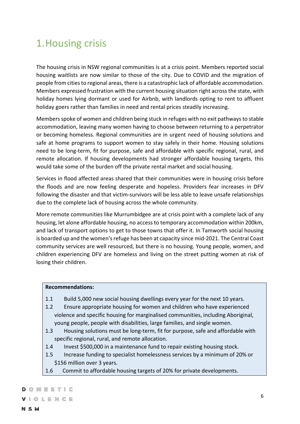# <span id="page-5-0"></span>1.Housing crisis

The housing crisis in NSW regional communities is at a crisis point. Members reported social housing waitlists are now similar to those of the city. Due to COVID and the migration of people from cities to regional areas, there is a catastrophic lack of affordable accommodation. Members expressed frustration with the current housing situation right across the state, with holiday homes lying dormant or used for Airbnb, with landlords opting to rent to affluent holiday goers rather than families in need and rental prices steadily increasing.

Members spoke of women and children being stuck in refuges with no exit pathways to stable accommodation, leaving many women having to choose between returning to a perpetrator or becoming homeless. Regional communities are in urgent need of housing solutions and safe at home programs to support women to stay safely in their home. Housing solutions need to be long-term, fit for purpose, safe and affordable with specific regional, rural, and remote allocation. If housing developments had stronger affordable housing targets, this would take some of the burden off the private rental market and social housing.

Services in flood affected areas shared that their communities were in housing crisis before the floods and are now feeling desperate and hopeless. Providers fear increases in DFV following the disaster and that victim-survivors will be less able to leave unsafe relationships due to the complete lack of housing across the whole community.

More remote communities like Murrumbidgee are at crisis point with a complete lack of any housing, let alone affordable housing, no access to temporary accommodation within 200km, and lack of transport options to get to those towns that offer it. In Tamworth social housing is boarded up and the women's refuge has been at capacity since mid-2021. The Central Coast community services are well resourced, but there is no housing. Young people, women, and children experiencing DFV are homeless and living on the street putting women at risk of losing their children.

#### **Recommendations:**

- 1.1 Build 5,000 new social housing dwellings every year for the next 10 years.
- 1.2 Ensure appropriate housing for women and children who have experienced violence and specific housing for marginalised communities, including Aboriginal, young people, people with disabilities, large families, and single women.
- 1.3 Housing solutions must be long-term, fit for purpose, safe and affordable with specific regional, rural, and remote allocation.
- 1.4 Invest \$500,000 in a maintenance fund to repair existing housing stock.
- 1.5 Increase funding to specialist homelessness services by a minimum of 20% or \$156 million over 3 years.
- 1.6 Commit to affordable housing targets of 20% for private developments.

#### DOMESTIC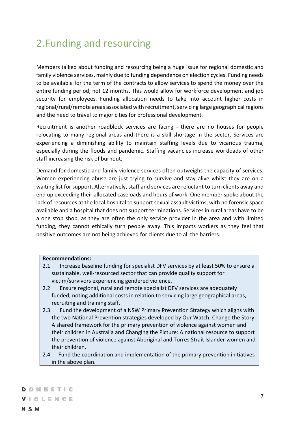### <span id="page-6-0"></span>2.Funding and resourcing

Members talked about funding and resourcing being a huge issue for regional domestic and family violence services, mainly due to funding dependence on election cycles. Funding needs to be available for the term of the contracts to allow services to spend the money over the entire funding period, not 12 months. This would allow for workforce development and job security for employees. Funding allocation needs to take into account higher costs in regional/rural/remote areas associated with recruitment, servicing large geographical regions and the need to travel to major cities for professional development.

Recruitment is another roadblock services are facing - there are no houses for people relocating to many regional areas and there is a skill shortage in the sector. Services are experiencing a diminishing ability to maintain staffing levels due to vicarious trauma, especially during the floods and pandemic. Staffing vacancies increase workloads of other staff increasing the risk of burnout.

Demand for domestic and family violence services often outweighs the capacity of services. Women experiencing abuse are just trying to survive and stay alive whilst they are on a waiting list for support. Alternatively, staff and services are reluctant to turn clients away and end up exceeding their allocated caseloads and hours of work. One member spoke about the lack of resources at the local hospital to support sexual assault victims, with no forensic space available and a hospital that does not support terminations. Services in rural areas have to be a one stop shop, as they are often the only service provider in the area and with limited funding, they cannot ethically turn people away. This impacts workers as they feel that positive outcomes are not being achieved for clients due to all the barriers.

#### **Recommendations:**

- 2.1 Increase baseline funding for specialist DFV services by at least 50% to ensure a sustainable, well-resourced sector that can provide quality support for victim/survivors experiencing gendered violence.
- 2.2 Ensure regional, rural and remote specialist DFV services are adequately funded, noting additional costs in relation to servicing large geographical areas, recruiting and training staff.
- 2.3 Fund the development of a NSW Primary Prevention Strategy which aligns with the two National Prevention strategies developed by Our Watch; Change the Story: A shared framework for the primary prevention of violence against women and their children in Australia and Changing the Picture: A national resource to support the prevention of violence against Aboriginal and Torres Strait Islander women and their children.
- 2.4 Fund the coordination and implementation of the primary prevention initiatives in the above plan.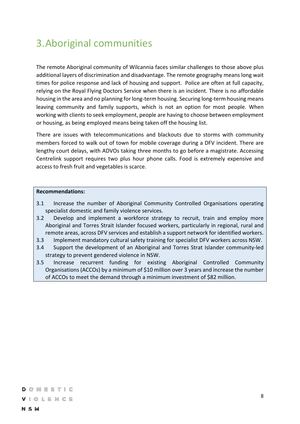### <span id="page-7-0"></span>3.Aboriginal communities

The remote Aboriginal community of Wilcannia faces similar challenges to those above plus additional layers of discrimination and disadvantage. The remote geography means long wait times for police response and lack of housing and support. Police are often at full capacity, relying on the Royal Flying Doctors Service when there is an incident. There is no affordable housing in the area and no planning for long-term housing. Securing long-term housing means leaving community and family supports, which is not an option for most people. When working with clients to seek employment, people are having to choose between employment or housing, as being employed means being taken off the housing list.

There are issues with telecommunications and blackouts due to storms with community members forced to walk out of town for mobile coverage during a DFV incident. There are lengthy court delays, with ADVOs taking three months to go before a magistrate. Accessing Centrelink support requires two plus hour phone calls. Food is extremely expensive and access to fresh fruit and vegetables is scarce.

#### **Recommendations:**

- 3.1 Increase the number of Aboriginal Community Controlled Organisations operating specialist domestic and family violence services.
- 3.2 Develop and implement a workforce strategy to recruit, train and employ more Aboriginal and Torres Strait Islander focused workers, particularly in regional, rural and remote areas, across DFV services and establish a support network for identified workers.
- 3.3 Implement mandatory cultural safety training for specialist DFV workers across NSW.
- 3.4 Support the development of an Aboriginal and Torres Strat Islander community-led strategy to prevent gendered violence in NSW.
- 3.5 Increase recurrent funding for existing Aboriginal Controlled Community Organisations (ACCOs) by a minimum of \$10 million over 3 years and increase the number of ACCOs to meet the demand through a minimum investment of \$82 million.

DOMESTIC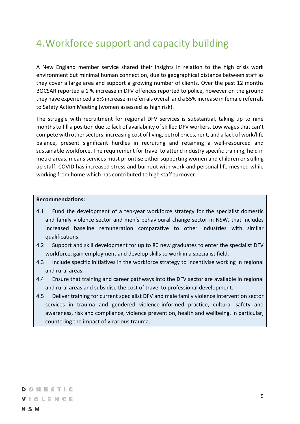### <span id="page-8-0"></span>4.Workforce support and capacity building

A New England member service shared their insights in relation to the high crisis work environment but minimal human connection, due to geographical distance between staff as they cover a large area and support a growing number of clients. Over the past 12 months BOCSAR reported a 1 % increase in DFV offences reported to police, however on the ground they have experienced a 5% increase in referrals overall and a 55% increase in female referrals to Safety Action Meeting (women assessed as high risk).

The struggle with recruitment for regional DFV services is substantial, taking up to nine months to fill a position due to lack of availability of skilled DFV workers. Low wages that can't compete with other sectors, increasing cost of living, petrol prices, rent, and a lack of work/life balance, present significant hurdles in recruiting and retaining a well-resourced and sustainable workforce. The requirement for travel to attend industry specific training, held in metro areas, means services must prioritise either supporting women and children or skilling up staff. COVID has increased stress and burnout with work and personal life meshed while working from home which has contributed to high staff turnover.

#### **Recommendations:**

- 4.1 Fund the development of a ten-year workforce strategy for the specialist domestic and family violence sector and men's behavioural change sector in NSW, that includes increased baseline remuneration comparative to other industries with similar qualifications.
- 4.2 Support and skill development for up to 80 new graduates to enter the specialist DFV workforce, gain employment and develop skills to work in a specialist field.
- 4.3 Include specific initiatives in the workforce strategy to incentivise working in regional and rural areas.
- 4.4 Ensure that training and career pathways into the DFV sector are available in regional and rural areas and subsidise the cost of travel to professional development.
- 4.5 Deliver training for current specialist DFV and male family violence intervention sector services in trauma and gendered violence-informed practice, cultural safety and awareness, risk and compliance, violence prevention, health and wellbeing, in particular, countering the impact of vicarious trauma.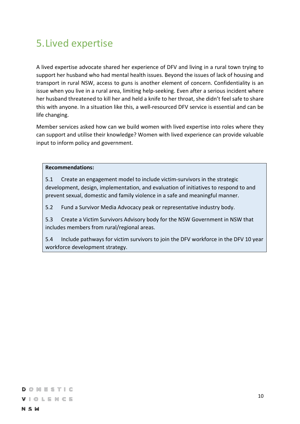# <span id="page-9-0"></span>5.Lived expertise

A lived expertise advocate shared her experience of DFV and living in a rural town trying to support her husband who had mental health issues. Beyond the issues of lack of housing and transport in rural NSW, access to guns is another element of concern. Confidentiality is an issue when you live in a rural area, limiting help-seeking. Even after a serious incident where her husband threatened to kill her and held a knife to her throat, she didn't feel safe to share this with anyone. In a situation like this, a well-resourced DFV service is essential and can be life changing.

Member services asked how can we build women with lived expertise into roles where they can support and utilise their knowledge? Women with lived experience can provide valuable input to inform policy and government.

#### **Recommendations:**

5.1 Create an engagement model to include victim-survivors in the strategic development, design, implementation, and evaluation of initiatives to respond to and prevent sexual, domestic and family violence in a safe and meaningful manner.

5.2 Fund a Survivor Media Advocacy peak or representative industry body.

5.3 Create a Victim Survivors Advisory body for the NSW Government in NSW that includes members from rural/regional areas.

5.4 Include pathways for victim survivors to join the DFV workforce in the DFV 10 year workforce development strategy.